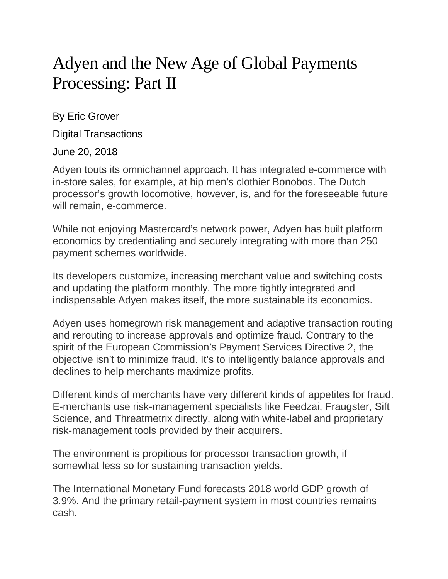## Adyen and the New Age of Global Payments Processing: Part II

By Eric Grover

Digital Transactions

June 20, 2018

Adyen touts its omnichannel approach. It has integrated e-commerce with in-store sales, for example, at hip men's clothier Bonobos. The Dutch processor's growth locomotive, however, is, and for the foreseeable future will remain, e-commerce.

While not enjoying Mastercard's network power, Adyen has built platform economics by credentialing and securely integrating with more than 250 payment schemes worldwide.

Its developers customize, increasing merchant value and switching costs and updating the platform monthly. The more tightly integrated and indispensable Adyen makes itself, the more sustainable its economics.

Adyen uses homegrown risk management and adaptive transaction routing and rerouting to increase approvals and optimize fraud. Contrary to the spirit of the European Commission's Payment Services Directive 2, the objective isn't to minimize fraud. It's to intelligently balance approvals and declines to help merchants maximize profits.

Different kinds of merchants have very different kinds of appetites for fraud. E-merchants use risk-management specialists like Feedzai, Fraugster, Sift Science, and Threatmetrix directly, along with white-label and proprietary risk-management tools provided by their acquirers.

The environment is propitious for processor transaction growth, if somewhat less so for sustaining transaction yields.

The International Monetary Fund forecasts 2018 world GDP growth of 3.9%. And the primary retail-payment system in most countries remains cash.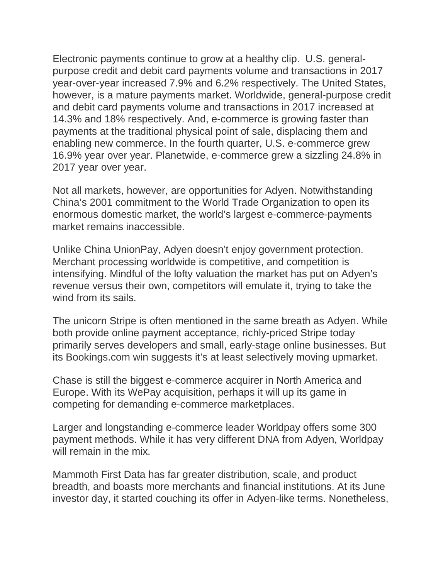Electronic payments continue to grow at a healthy clip. U.S. generalpurpose credit and debit card payments volume and transactions in 2017 year-over-year increased 7.9% and 6.2% respectively. The United States, however, is a mature payments market. Worldwide, general-purpose credit and debit card payments volume and transactions in 2017 increased at 14.3% and 18% respectively. And, e-commerce is growing faster than payments at the traditional physical point of sale, displacing them and enabling new commerce. In the fourth quarter, U.S. e-commerce grew 16.9% year over year. Planetwide, e-commerce grew a sizzling 24.8% in 2017 year over year.

Not all markets, however, are opportunities for Adyen. Notwithstanding China's 2001 commitment to the World Trade Organization to open its enormous domestic market, the world's largest e-commerce-payments market remains inaccessible.

Unlike China UnionPay, Adyen doesn't enjoy government protection. Merchant processing worldwide is competitive, and competition is intensifying. Mindful of the lofty valuation the market has put on Adyen's revenue versus their own, competitors will emulate it, trying to take the wind from its sails.

The unicorn Stripe is often mentioned in the same breath as Adyen. While both provide online payment acceptance, richly-priced Stripe today primarily serves developers and small, early-stage online businesses. But its Bookings.com win suggests it's at least selectively moving upmarket.

Chase is still the biggest e-commerce acquirer in North America and Europe. With its WePay acquisition, perhaps it will up its game in competing for demanding e-commerce marketplaces.

Larger and longstanding e-commerce leader Worldpay offers some 300 payment methods. While it has very different DNA from Adyen, Worldpay will remain in the mix.

Mammoth First Data has far greater distribution, scale, and product breadth, and boasts more merchants and financial institutions. At its June investor day, it started couching its offer in Adyen-like terms. Nonetheless,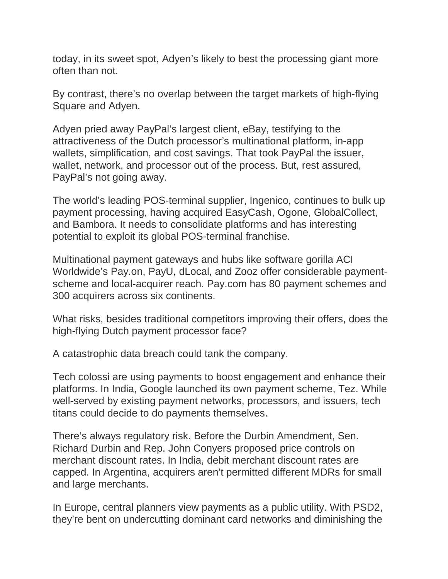today, in its sweet spot, Adyen's likely to best the processing giant more often than not.

By contrast, there's no overlap between the target markets of high-flying Square and Adyen.

Adyen pried away PayPal's largest client, eBay, testifying to the attractiveness of the Dutch processor's multinational platform, in-app wallets, simplification, and cost savings. That took PayPal the issuer, wallet, network, and processor out of the process. But, rest assured, PayPal's not going away.

The world's leading POS-terminal supplier, Ingenico, continues to bulk up payment processing, having acquired EasyCash, Ogone, GlobalCollect, and Bambora. It needs to consolidate platforms and has interesting potential to exploit its global POS-terminal franchise.

Multinational payment gateways and hubs like software gorilla ACI Worldwide's Pay.on, PayU, dLocal, and Zooz offer considerable paymentscheme and local-acquirer reach. Pay.com has 80 payment schemes and 300 acquirers across six continents.

What risks, besides traditional competitors improving their offers, does the high-flying Dutch payment processor face?

A catastrophic data breach could tank the company.

Tech colossi are using payments to boost engagement and enhance their platforms. In India, Google launched its own payment scheme, Tez. While well-served by existing payment networks, processors, and issuers, tech titans could decide to do payments themselves.

There's always regulatory risk. Before the Durbin Amendment, Sen. Richard Durbin and Rep. John Conyers proposed price controls on merchant discount rates. In India, debit merchant discount rates are capped. In Argentina, acquirers aren't permitted different MDRs for small and large merchants.

In Europe, central planners view payments as a public utility. With PSD2, they're bent on undercutting dominant card networks and diminishing the